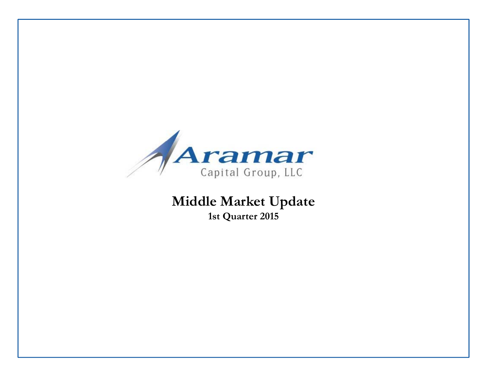

# **Middle Market Update 1st Quarter 2015**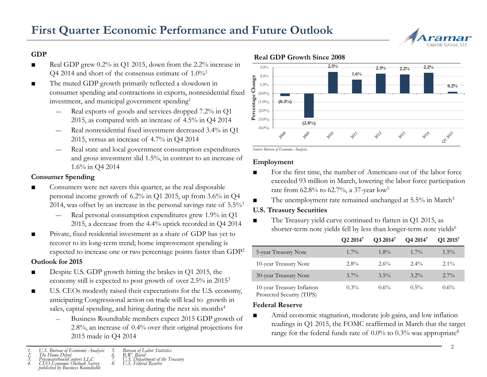

- ■ Real GDP grew 0.2% in Q1 2015, down from the 2.2% increase in Q4 2014 and short of the consensus estimate of  $1.0\%$ <sup>1</sup>
- ■ The muted GDP growth primarily reflected a slowdown in consumer spending and contractions in exports, nonresidential fixed Fractions in exports, nonresidential fixed<br>investment, and municipal government spending<sup>1</sup><br>- Real exports of goods and services dropped 7.2% in Q1<br> $^{2015}$ <br> $^{2015}$  as sempared with an increase of 4.5% in Q4.2014
	- Real exports of goods and services dropped 7.2% in Q1 2015, as compared with an increase of 4.5% in Q4 2014
	- Real nonresidential fixed investment decreased 3.4% in Q1 2015, versus an increase of 4.7% in Q4 2014
	- Real state and local government consumption expenditures and gross investment slid 1.5%, in contrast to an increase of 1.6% in Q4 2014

### **Consumer Spending**

- **EXECO** Consumers were net savers this quarter, as the real disposable personal income growth of 6.2% in Q1 2015, up from 3.6% in Q4 2014, was offset by an increase in the personal savings rate of  $5.5\%$ <sup>1</sup>
	- Real personal consumption expenditures grew 1.9% in Q1 2015, a decrease from the 4.4% uptick recorded in Q4 2014
- ■■ Private, fixed residential investment as a share of GDP has yet to **Q2** 2014<sup>7</sup> **Q3** 2014<sup>7</sup> **Q4** 2014<sup>7</sup> **Q1** 2015<sup>7</sup> recover to its long-term trend; home improvement spending is expected to increase one or two percentage points faster than GDP2

### **Outlook for 2015**

- ■ Despite U.S. GDP growth hitting the brakes in Q1 2015, the economy still is expected to post growth of over 2.5% in 2015 $^3$
- ■ U.S. CEOs modestly raised their expectations for the U.S. economy, anticipating Congressional action on trade will lead to growth in sales, capital spending, and hiring during the next six months<sup>4</sup>
	- Business Roundtable members expect 2015 GDP growth of 2.8%, an increase of 0.4% over their original projections for 2015 made in Q4 2014<br>
	<sup>2016</sup> range for the federal funds rate of 0.0% to 0.3% was appropriate<sup>8</sup>

### **Real GDP Growth Since 2008 GDP**



*Source: Bureau of Economic Analysis.*

### **Employment**

- ■ For the first time, the number of Americans out of the labor force exceeded 93 million in March, lowering the labor force participation rate from 62.8% to 62.7%, a 37-year low<sup>5</sup>
- ■The unemployment rate remained unchanged at 5.5% in March<sup>5</sup>

### **U.S. Treasury Securities**

■ The Treasury yield curve continued to flatten in Q1 2015, as shorter-term note yields fell by less than longer-term note yields<sup>6</sup>

|                                                         | Q2 2014 <sup>7</sup> | O3 2014 <sup>7</sup> | O <sub>4</sub> 2014 <sup>7</sup> | Q1 2015 <sup>7</sup> |
|---------------------------------------------------------|----------------------|----------------------|----------------------------------|----------------------|
| 5-year Treasury Note                                    | $1.7\%$              | $1.8\%$              | $1.7\%$                          | $1.5\%$              |
| 10-year Treasury Note                                   | $2.8\%$              | 2.6%                 | $2.4\%$                          | $2.1\%$              |
| 30-year Treasury Note                                   | $3.7\%$              | $3.5\%$              | $3.2\%$                          | $2.7\%$              |
| 10-year Treasury Inflation<br>Protected Security (TIPS) | $0.3\%$              | $0.6\%$              | $0.5\%$                          | $0.6\%$              |

### **Federal Reserve**

■ Amid economic stagnation, moderate job gains, and low inflation readings in Q1 2015, the FOMC reaffirmed in March that the target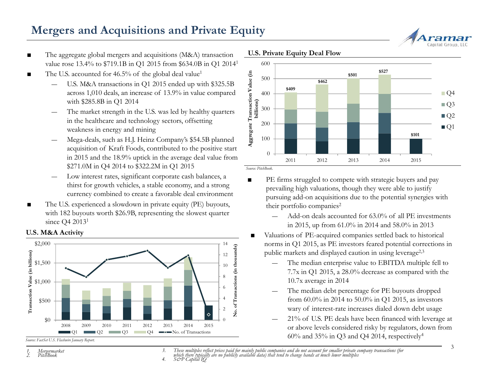# **Mergers and Acquisitions and Private Equity**

- ■ The aggregate global mergers and acquisitions (M&A) transaction **U.S. Private Equity Deal Flow** value rose 13.4% to \$719.1B in Q1 2015 from \$634.0B in Q1 20141
- ■The U.S. accounted for  $46.5\%$  of the global deal value<sup>1</sup>
	- U.S. M&A transactions in Q1 2015 ended up with \$325.5B across 1,010 deals, an increase of 13.9% in value compared with \$285.8B in Q1 2014
	- The market strength in the U.S. was led by healthy quarters in the healthcare and technology sectors, offsetting weakness in energy and mining
	- Mega-deals, such as H.J. Heinz Company's \$54.5B planned acquisition of Kraft Foods, contributed to the positive start in 2015 and the 18.9% uptick in the average deal value from \$271.0M in Q4 2014 to \$322.2M in Q1 2015
	- Low interest rates, significant corporate cash balances, a thirst for growth vehicles, a stable economy, and a strong currency combined to create a favorable deal environment
- ■ The U.S. experienced a slowdown in private equity (PE) buyouts, with 182 buyouts worth \$26.9B, representing the slowest quarter since O4 2013<sup>1</sup>

### **U.S. M&A Activit y**



*Source: FactSet U.S. Flashwire January Report.* 

- 400 500600 $\frac{1}{2}$  500<br>  $\frac{$527}{$409}$   $\frac{$409}{$409}$   $\frac{$409}{$409}$   $\frac{$201}{$409}$   $\frac{$527}{$400}$   $\frac{$527}{$409}$   $\frac{$527}{$409}$   $\frac{$201}{$409}$   $\frac{$201}{$409}$   $\frac{$201}{$409}$   $\frac{$201}{$409}$   $\frac{$201}{$409}$   $\frac{$201}{$409}$   $\frac{$201}{$409}$   $\frac{$201}{$40$ 100 200300**ggregate Transaction billions)**  $\Box$ Q4  $\Box$ Q3  $\blacksquare$  Q2  $\blacksquare$ Q1 **\$101** 02011 2012 2013 2014 2015Aggregate Transaction Value (in
- 

*Source: PitchBook.*

- ■ PE firms struggled to compete with strategic buyers and pay prevailing high valuations, though they were able to justify pursuing add-on acquisitions due to the potential synergies with their portfolio companies<sup>2</sup>
	- Add-on deals accounted for 63.0% of all PE investments in 2015, up from 61.0% in 2014 and 58.0% in 2013
- ■• Valuations of PE-acquired companies settled back to historical norms in Q1 2015, as PE investors feared potential corrections in public markets and displayed caution in using leverage<sup>2,3</sup>
	- The median enterprise value to EBITDA multiple fell to 7.7x in Q1 2015, a 28.0% decrease as compared with the 10.7x average in 2014
	- from 60.0% in 2014 to 50.0% in Q1 2015, as investors wary of interest-rate increases dialed down debt usage
	- 21% of U.S. PE deals have been financed with leverage at or above levels considered risky by regulators, down from  $60\%$  and  $35\%$  in Q3 and Q4 2014, respectively<sup>4</sup>
- 3. These multiples reflect prices paid for mainly public companies and do not account for smaller private company transactions (for<br>which there typically are no publicly available data) that tend to change hands at much lo



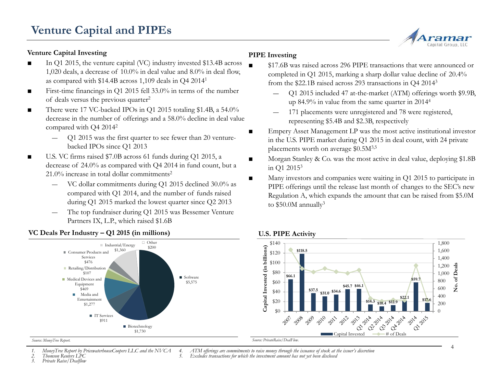### **Venture Capital Investing**

- ■ In Q1 2015, the venture capital (VC) industry invested \$13.4B across 1,020 deals, a decrease of 10.0% in deal value and 8.0% in deal flow, as compared with \$14.4B across 1,109 deals in Q4 20141
- ■ $\blacksquare$  First-time financings in Q1 2015 fell 33.0% in terms of the number of deals versus the previous quarter<sup>2</sup>
- ■ There were 17 VC-backed IPOs in Q1 2015 totaling \$1.4B, a 54.0% decrease in the number of offerings and a 58.0% decline in deal value compared with Q4 20142
	- ― $Q1$  2015 was the first quarter to see fewer than 20 venturebacked IPOs since Q1 2013
- ■ U.S. VC firms raised \$7.0B across 61 funds during Q1 2015, a decrease of 24.0% as compared with Q4 2014 in fund count, but a 21.0% increase in total dollar commitments2
	- VC dollar commitments durin g Q1 2015 declined 30.0% as g compared with Q1 2014, and the number of funds raised during Q1 2015 marked the lowest quarter since Q2 2013
	- The top fundraiser during Q1 2015 was Bessemer Venture Partners IX, L.P., which raised \$1.6B

## **PIPE Investing**

- \$17.6B was raised across 296 PIPE transactions that were announced or completed in Q1 2015, marking a sharp dollar value decline of 20.4% from the \$22.1B raised across 293 transactions in Q4 20143
	- Q1 2015 included 47 at-the-market (ATM) offerings worth \$9.9B, up 84.9% in value from the same quarter in 20144
	- 171 placements were unregistered and 78 were registered, representing \$5.4B and \$2.3B, respectively
- Empery Asset Management LP was the most active institutional investor in the U.S. PIPE market during Q1 2015 in deal count, with 24 private placements worth on average \$0.5M3,5
- ■ Morgan Stanley & Co. was the most active in deal value, deploying \$1.8B in  $O1$  2015<sup>3</sup>
- ■ Many investors and companies were waiting in Q1 2015 to participate in PIPE offerings until the release last month of changes to the SEC's new Regulation A, which expands the amount that can be raised from \$5.0M to \$50.0M annually<sup>3</sup>



■

### **VC Deals Per Industr y – Q1 2015 (in millions)**

#### *Source: MoneyTree Report.*

*1. MoneyTree Report by PricewaterhouseCoopers LLC and the NVCA*

*2. Thomson Reuters LPC*

*3. Private Raise/Dealflow*

4. ATM offerings are commitments to raise money through the issuance of stock at the issuer's discretion<br>5. Excludes transactions for which the investment amount has not yet been disclosed

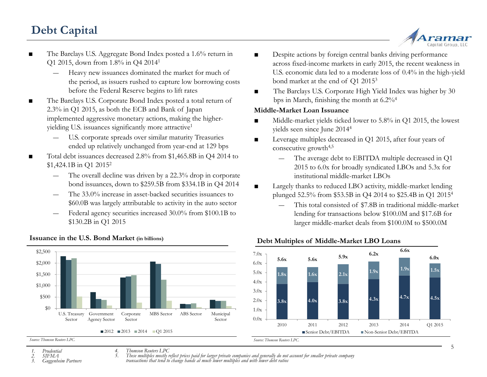# **Debt Capital**



- The Barclays U.S. Aggregate Bond Index posted a 1.6% return in Q1 2015, down from 1.8% in Q4 20141
	- ― Heavy new issuances dominated the market for much of the period, as issuers rushed to capture low borrowing costs before the Federal Reserve begins to lift rates
- ■ The Barclays U.S. Corporate Bond Index posted a total return of 2.3% in Q1 2015, as both the ECB and Bank of Japan implemented aggressive monetary actions, making the higheryielding U.S. issuances significantly more attractive<sup>1</sup>
	- ― U.S. corporate spreads over similar maturity Treasuries ended up relatively unchanged from year-end at 129 bps
- Total debt issuances decreased 2.8% from \$1,465.8B in Q4 2014 to \$1,424.1B in Q1 20152
	- The overall decline was driven by a 22.3% drop in corporate bond issuances, down to \$259.5B from \$334.1B in Q4 2014
	- The 33.0% increase in asset-backed securities issuances to \$60.0B was largely attributable to activity in the auto sector
	- Federal agency securities increased 30.0% from \$100.1B to \$130.2B in Q1 2015



### **Issuance in the U.S. Bond Market (in billions)**

- ■ Despite actions by foreign central banks driving performance across fixed-income markets in early 2015, the recent weakness in U.S. economic data led to a moderate loss of 0.4% in the high-yield bond market at the end of Q1 20153
- gins to lift rates The Barclays U.S. Corporate High Yield Index was higher by 30 bps in March, finishing the month at 6.2%4

### **Middle-Market Loan Issuance**

- ■ Middle-market yields ticked lower to 5.8% in Q1 2015, the lowest yields seen since June 20144
- ■porate spreads over similar maturity Treasuries  $\Box$  Leverage multiples decreased in Q1 2015, after four years of consecutive growth<sup>4,5</sup>
	- ― The average debt to EBITDA multiple decreased in Q1 2015 to 6.0x for broadly syndicated LBOs and 5.3x for institutional middle-market LBOs
	- ■ Largely thanks to reduced LBO activity, middle-market lending plunged 52.5% from \$53.5B in Q4 2014 to \$25.4B in Q1 2015<sup>4</sup>
		- This total consisted of \$7.8B in traditional middle-market lending for transactions below \$100.0M and \$17.6B for larger middle-market deals from \$100.0M to \$500.0M



### **Debt Multiples of Middle-Market LBO Loans**

*Source: Thomson Reuters LPC.*

*1. Prudential 2. SIFMA*

*3. Guggenheim Partners*

*4. Thomson Reuters LPC*

5. These multiples mostly reflect prices paid for larger private companies and generally do not account for smaller private company<br>transactions that tend to change hands at much lower multiples and with lower debt ratios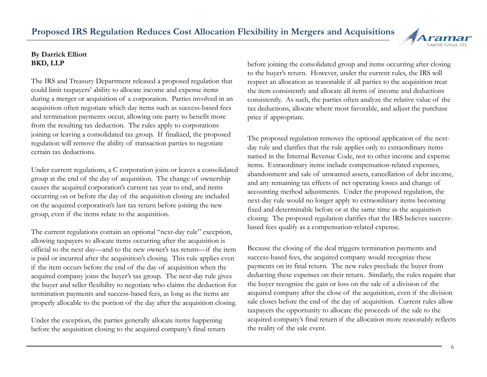## **Proposed IRS Regulation Reduces Cost Allocation Flexibility in Mergers and Acquisitions**

### **By Darrick Elliott BKD, LLP**

The IRS and Treasury Department released a proposed regulation that could limit taxpayers' ability to allocate income and expense items during a merger or acquisition of a corporation. Parties involved in an acquisition often negotiate which day items such as success-based fees and termination payments occur, allowing one party to benefit more from the resulting tax deduction. The rules apply to corporations joining or leaving a consolidated tax group. If finalized, the proposed lowing of tearing a consolidated an group. It inhanced, the proposed The proposed regulation removes the optional application of the next-<br>regulation will remove the ability of transaction parties to negotiate certain tax deductions.

Under current regulations, a C corporation joins or leaves a consolidated group at the end of the day of acquisition. The change of ownership causes the acquired corporation's current tax year to end, and items occurring on or before the day of the acquisition closing are included on the acquired corporation's last tax return before joining the new group, even if the items relate to the acquisition.

The current regulations contain an optional "next-day rule" exception, based fees qualify as a compensation-related expense. allowing taxpayers to allocate items occurring after the acquisition is official to the next day—and to the new owner's tax return—if the item is paid or incurred after the acquisition's closing. This rule applies even if the item occurs before the end of the day of acquisition when the acquired company joins the buyer's tax group. The next-day rule gives the buyer and seller flexibility to negotiate who claims the deduction f termination payments and success-based fees, as long as the items are properly allocable to the portion of the day after the acquisition closing.

Under the exception, the parties generally allocate items happening before the acquisition closing to the acquired company's final return the reality of the sale event.

before joining the consolidated group and items occurring after closing to the buyer's return. However, under the current rules, the IRS will respect an allocation as reasonable if all parties to the acquisition treat the item consistently and allocate all items of income and deductions consistently. As such, the parties often analyze the relative value of the tax deductions, allocate where most favorable, and adjust the purchase price if appropriate.

The proposed regulation removes the optional app day rule and clarifies that the rule applies only to extraordinary items named in the Internal Revenue Code, not to other income and expense items. Extraordinary items include compensation-related expenses, abandonment and sale of unwanted assets, cancellation of debt income, and any remaining tax effects of net operating losses and change of accounting method adjustments. Under the proposed regulation, the next-day rule would no longer apply to extraordinary items becoming fixed and determinable before or at the same time as the acquisition closing. The proposed regulation clarifies that the IRS believes success-

Because the closing of the deal triggers termination payments and success-based fees, the acquired company would recognize these payments on its final return. The new rules preclude the buyer from deducting these expenses on their return. Similarly, the rules require that deduction for the buyer recognize the gain or loss on the sale of a division of the acquired company after the close of the acquisition, even if the division sale closes before the end of the day of acquisition. Current rules allow taxpayers the opportunity to allocate the proceeds of the sale to the acquired company's final return if the allocation more reasonably reflects the reality of the sale event

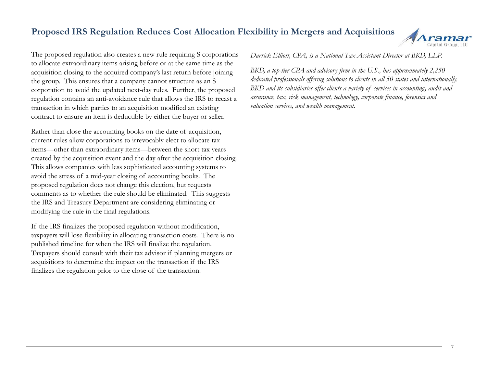

The proposed regulation also creates a new rule requiring S corporations to allocate extraordinary items arising before or at the same time as the acquisition closing to the acquired company's last return before joining the group. This ensures that a company cannot structure as an S corporation to avoid the updated next-day rules. Further, the proposed regulation contains an anti-avoidance rule that allows the IRS to recast a transaction in which parties to an acquisition modified an existing contract to ensure an item is deductible by either the buyer or seller.

Rather than close the accounting books on the date of acquisition, current rules allow corporations to irrevocably elect to allocate tax items—other than extraordinary items—between the short tax years created by the acquisition event and the day after the acquisition closing. This allows companies with less sophisticated accounting systems to avoid the stress of a mid-year closing of accounting books. The proposed regulation does not change this election, but requests comments as to whether the rule should be eliminated. This suggests the IRS and Treasury Department are considering eliminating or modifying the rule in the final regulations.

If the IRS finalizes the proposed regulation without modification, taxpayers will lose flexibility in allocating transaction costs. There is no published timeline for when the IRS will finalize the regulation. Taxpayers should consult with their tax advisor if planning mergers or acquisitions to determine the impact on the transaction if the IRS finalizes the regulation prior to the close of the transaction.

*Darrick Elliott, CPA, is a National Tax Assistant Director at BKD, LLP.*

*BKD, a top-tier CPA and advisory firm in the U.S., has approximately 2,250 dedicated professionals offering solutions to clients in all 50 states and internationally. BKD and its subsidiaries offer clients a variety of services in accounting, audit and assurance, tax, risk management, technology, corporate finance, forensics and valuation services, and wealth management.*